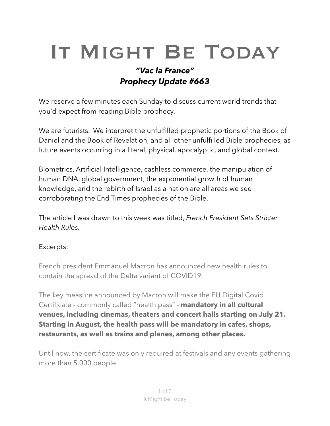## IT MIGHT BE TODAY

## *"Vac la France" Prophecy Update #663*

We reserve a few minutes each Sunday to discuss current world trends that you'd expect from reading Bible prophecy.

We are futurists. We interpret the unfulfilled prophetic portions of the Book of Daniel and the Book of Revelation, and all other unfulfilled Bible prophecies, as future events occurring in a literal, physical, [apocalyptic](https://en.m.wikipedia.org/wiki/Apocalypticism), and global context.

Biometrics, Artificial Intelligence, cashless commerce, the manipulation of human DNA, global government, the exponential growth of human knowledge, and the rebirth of Israel as a nation are all areas we see corroborating the End Times prophecies of the Bible.

The article I was drawn to this week was titled, *French President Sets Stricter Health Rules.*

## Excerpts:

French president [Emmanuel Macron](https://variety.com/t/emmanuel-macron/) has announced new health rules to contain the spread of the Delta variant of COVID19.

The key measure announced by Macron will make the EU Digital Covid Certificate - commonly called "health pass" - **mandatory in all cultural venues, including cinemas, theaters and concert halls starting on July 21. Starting in August, the health pass will be mandatory in cafes, shops, restaurants, as well as trains and planes, among other places.**

Until now, the certificate was only required at festivals and any events gathering more than 5,000 people.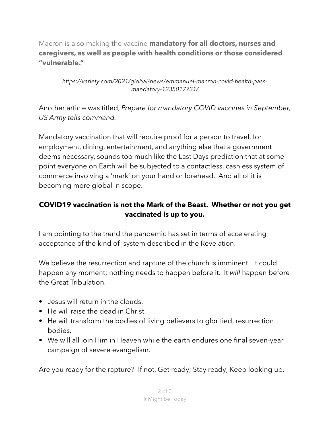Macron is also making the vaccine **mandatory for all doctors, nurses and caregivers, as well as people with health conditions or those considered "vulnerable."**

*https://variety.com/2021/global/news/emmanuel-macron-covid-health-passmandatory-1235017731/*

Another article was titled, *Prepare for mandatory COVID vaccines in September, US Army tells command.*

Mandatory vaccination that will require proof for a person to travel, for employment, dining, entertainment, and anything else that a government deems necessary, sounds too much like the Last Days prediction that at some point everyone on Earth will be subjected to a contactless, cashless system of commerce involving a 'mark' on your hand or forehead. And all of it is becoming more global in scope.

## **COVID19 vaccination is not the Mark of the Beast. Whether or not you get vaccinated is up to you.**

I am pointing to the trend the pandemic has set in terms of accelerating acceptance of the kind of system described in the Revelation.

We believe the resurrection and rapture of the church is imminent. It could happen any moment; nothing needs to happen before it. It *will* happen before the Great Tribulation.

- Jesus will return in the clouds.
- He will raise the dead in Christ.
- He will transform the bodies of living believers to glorified, resurrection bodies.
- We will all join Him in Heaven while the earth endures one final seven-year campaign of severe evangelism.

Are you ready for the rapture? If not, Get ready; Stay ready; Keep looking up.